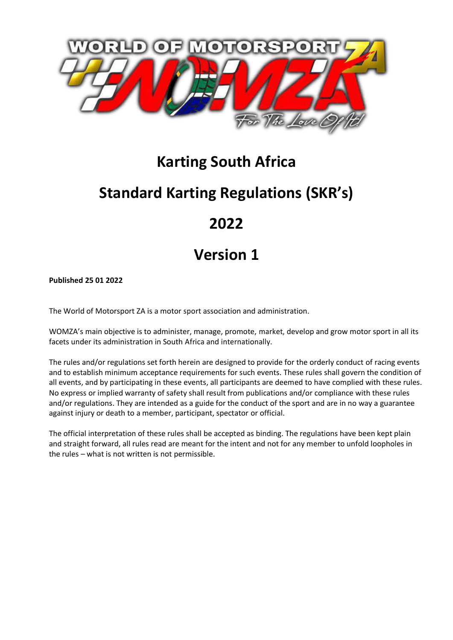

# **Karting South Africa**

# **Standard Karting Regulations (SKR's)**

# **2022**

# **Version 1**

**Published 25 01 2022**

The World of Motorsport ZA is a motor sport association and administration.

WOMZA's main objective is to administer, manage, promote, market, develop and grow motor sport in all its facets under its administration in South Africa and internationally.

The rules and/or regulations set forth herein are designed to provide for the orderly conduct of racing events and to establish minimum acceptance requirements for such events. These rules shall govern the condition of all events, and by participating in these events, all participants are deemed to have complied with these rules. No express or implied warranty of safety shall result from publications and/or compliance with these rules and/or regulations. They are intended as a guide for the conduct of the sport and are in no way a guarantee against injury or death to a member, participant, spectator or official.

The official interpretation of these rules shall be accepted as binding. The regulations have been kept plain and straight forward, all rules read are meant for the intent and not for any member to unfold loopholes in the rules – what is not written is not permissible.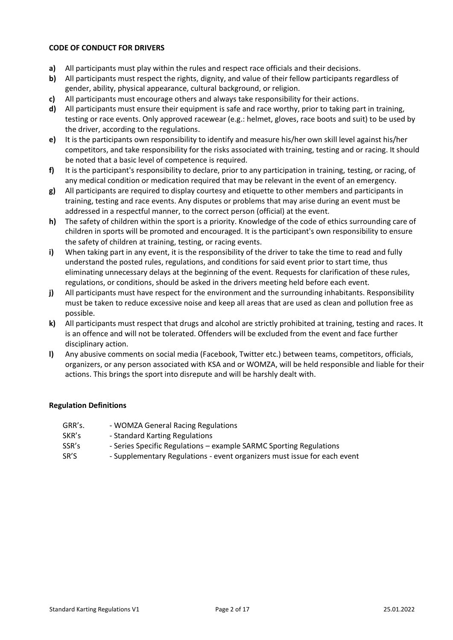#### **CODE OF CONDUCT FOR DRIVERS**

- **a)** All participants must play within the rules and respect race officials and their decisions.
- **b)** All participants must respect the rights, dignity, and value of their fellow participants regardless of gender, ability, physical appearance, cultural background, or religion.
- **c)** All participants must encourage others and always take responsibility for their actions.
- **d)** All participants must ensure their equipment is safe and race worthy, prior to taking part in training, testing or race events. Only approved racewear (e.g.: helmet, gloves, race boots and suit) to be used by the driver, according to the regulations.
- **e)** It is the participants own responsibility to identify and measure his/her own skill level against his/her competitors, and take responsibility for the risks associated with training, testing and or racing. It should be noted that a basic level of competence is required.
- **f)** It is the participant's responsibility to declare, prior to any participation in training, testing, or racing, of any medical condition or medication required that may be relevant in the event of an emergency.
- **g)** All participants are required to display courtesy and etiquette to other members and participants in training, testing and race events. Any disputes or problems that may arise during an event must be addressed in a respectful manner, to the correct person (official) at the event.
- **h)** The safety of children within the sport is a priority. Knowledge of the code of ethics surrounding care of children in sports will be promoted and encouraged. It is the participant's own responsibility to ensure the safety of children at training, testing, or racing events.
- **i)** When taking part in any event, it is the responsibility of the driver to take the time to read and fully understand the posted rules, regulations, and conditions for said event prior to start time, thus eliminating unnecessary delays at the beginning of the event. Requests for clarification of these rules, regulations, or conditions, should be asked in the drivers meeting held before each event.
- **j)** All participants must have respect for the environment and the surrounding inhabitants. Responsibility must be taken to reduce excessive noise and keep all areas that are used as clean and pollution free as possible.
- **k)** All participants must respect that drugs and alcohol are strictly prohibited at training, testing and races. It is an offence and will not be tolerated. Offenders will be excluded from the event and face further disciplinary action.
- **l)** Any abusive comments on social media (Facebook, Twitter etc.) between teams, competitors, officials, organizers, or any person associated with KSA and or WOMZA, will be held responsible and liable for their actions. This brings the sport into disrepute and will be harshly dealt with.

#### **Regulation Definitions**

| GRR's. | - WOMZA General Racing Regulations                                       |
|--------|--------------------------------------------------------------------------|
| SKR's  | - Standard Karting Regulations                                           |
| SSR's  | - Series Specific Regulations – example SARMC Sporting Regulations       |
| SR'S   | - Supplementary Regulations - event organizers must issue for each event |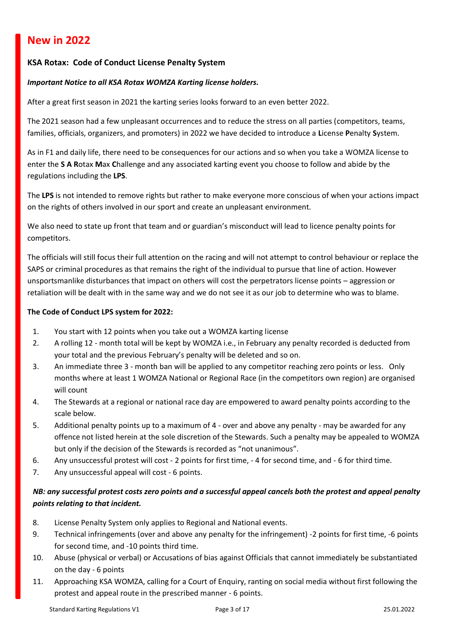# **New in 2022**

### **KSA Rotax: Code of Conduct License Penalty System**

#### *Important Notice to all KSA Rotax WOMZA Karting license holders.*

After a great first season in 2021 the karting series looks forward to an even better 2022.

The 2021 season had a few unpleasant occurrences and to reduce the stress on all parties (competitors, teams, families, officials, organizers, and promoters) in 2022 we have decided to introduce a **L**icense **P**enalty **S**ystem.

As in F1 and daily life, there need to be consequences for our actions and so when you take a WOMZA license to enter the **S A R**otax **M**ax **C**hallenge and any associated karting event you choose to follow and abide by the regulations including the **LPS**.

The **LPS** is not intended to remove rights but rather to make everyone more conscious of when your actions impact on the rights of others involved in our sport and create an unpleasant environment.

We also need to state up front that team and or guardian's misconduct will lead to licence penalty points for competitors.

The officials will still focus their full attention on the racing and will not attempt to control behaviour or replace the SAPS or criminal procedures as that remains the right of the individual to pursue that line of action. However unsportsmanlike disturbances that impact on others will cost the perpetrators license points – aggression or retaliation will be dealt with in the same way and we do not see it as our job to determine who was to blame.

#### **The Code of Conduct LPS system for 2022:**

- 1. You start with 12 points when you take out a WOMZA karting license
- 2. A rolling 12 month total will be kept by WOMZA i.e., in February any penalty recorded is deducted from your total and the previous February's penalty will be deleted and so on.
- 3. An immediate three 3 month ban will be applied to any competitor reaching zero points or less. Only months where at least 1 WOMZA National or Regional Race (in the competitors own region) are organised will count
- 4. The Stewards at a regional or national race day are empowered to award penalty points according to the scale below.
- 5. Additional penalty points up to a maximum of 4 over and above any penalty may be awarded for any offence not listed herein at the sole discretion of the Stewards. Such a penalty may be appealed to WOMZA but only if the decision of the Stewards is recorded as "not unanimous".
- 6. Any unsuccessful protest will cost 2 points for first time, 4 for second time, and 6 for third time.
- 7. Any unsuccessful appeal will cost 6 points.

# *NB: any successful protest costs zero points and a successful appeal cancels both the protest and appeal penalty points relating to that incident.*

- 8. License Penalty System only applies to Regional and National events.
- 9. Technical infringements (over and above any penalty for the infringement) -2 points for first time, -6 points for second time, and -10 points third time.
- 10. Abuse (physical or verbal) or Accusations of bias against Officials that cannot immediately be substantiated on the day - 6 points
- 11. Approaching KSA WOMZA, calling for a Court of Enquiry, ranting on social media without first following the protest and appeal route in the prescribed manner - 6 points.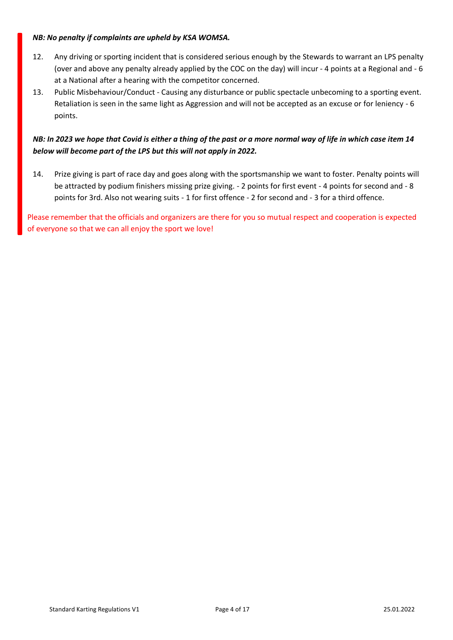#### *NB: No penalty if complaints are upheld by KSA WOMSA.*

- 12. Any driving or sporting incident that is considered serious enough by the Stewards to warrant an LPS penalty (over and above any penalty already applied by the COC on the day) will incur - 4 points at a Regional and - 6 at a National after a hearing with the competitor concerned.
- 13. Public Misbehaviour/Conduct Causing any disturbance or public spectacle unbecoming to a sporting event. Retaliation is seen in the same light as Aggression and will not be accepted as an excuse or for leniency - 6 points.

# *NB: In 2023 we hope that Covid is either a thing of the past or a more normal way of life in which case item 14 below will become part of the LPS but this will not apply in 2022.*

14. Prize giving is part of race day and goes along with the sportsmanship we want to foster. Penalty points will be attracted by podium finishers missing prize giving. - 2 points for first event - 4 points for second and - 8 points for 3rd. Also not wearing suits - 1 for first offence - 2 for second and - 3 for a third offence.

Please remember that the officials and organizers are there for you so mutual respect and cooperation is expected of everyone so that we can all enjoy the sport we love!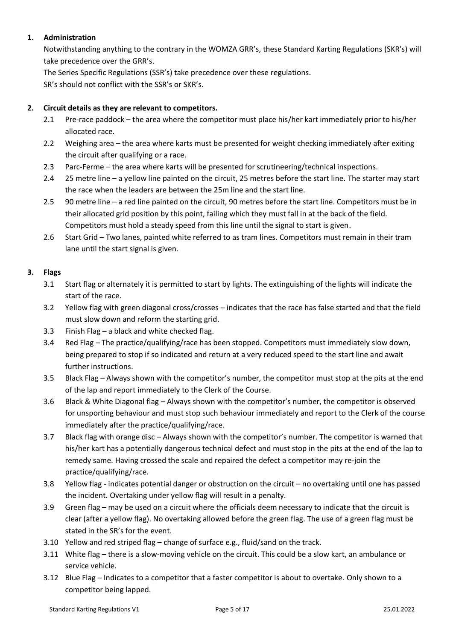# **1. Administration**

Notwithstanding anything to the contrary in the WOMZA GRR's, these Standard Karting Regulations (SKR's) will take precedence over the GRR's.

The Series Specific Regulations (SSR's) take precedence over these regulations.

SR's should not conflict with the SSR's or SKR's.

### **2. Circuit details as they are relevant to competitors.**

- 2.1 Pre-race paddock the area where the competitor must place his/her kart immediately prior to his/her allocated race.
- 2.2 Weighing area the area where karts must be presented for weight checking immediately after exiting the circuit after qualifying or a race.
- 2.3 Parc-Ferme the area where karts will be presented for scrutineering/technical inspections.
- 2.4 25 metre line a yellow line painted on the circuit, 25 metres before the start line. The starter may start the race when the leaders are between the 25m line and the start line.
- 2.5 90 metre line a red line painted on the circuit, 90 metres before the start line. Competitors must be in their allocated grid position by this point, failing which they must fall in at the back of the field. Competitors must hold a steady speed from this line until the signal to start is given.
- 2.6 Start Grid Two lanes, painted white referred to as tram lines. Competitors must remain in their tram lane until the start signal is given.

### **3. Flags**

- 3.1 Start flag or alternately it is permitted to start by lights. The extinguishing of the lights will indicate the start of the race.
- 3.2 Yellow flag with green diagonal cross/crosses indicates that the race has false started and that the field must slow down and reform the starting grid.
- 3.3 Finish Flag **–** a black and white checked flag.
- 3.4 Red Flag The practice/qualifying/race has been stopped. Competitors must immediately slow down, being prepared to stop if so indicated and return at a very reduced speed to the start line and await further instructions.
- 3.5 Black Flag Always shown with the competitor's number, the competitor must stop at the pits at the end of the lap and report immediately to the Clerk of the Course.
- 3.6 Black & White Diagonal flag Always shown with the competitor's number, the competitor is observed for unsporting behaviour and must stop such behaviour immediately and report to the Clerk of the course immediately after the practice/qualifying/race.
- 3.7 Black flag with orange disc Always shown with the competitor's number. The competitor is warned that his/her kart has a potentially dangerous technical defect and must stop in the pits at the end of the lap to remedy same. Having crossed the scale and repaired the defect a competitor may re-join the practice/qualifying/race.
- 3.8 Yellow flag indicates potential danger or obstruction on the circuit no overtaking until one has passed the incident. Overtaking under yellow flag will result in a penalty.
- 3.9 Green flag may be used on a circuit where the officials deem necessary to indicate that the circuit is clear (after a yellow flag). No overtaking allowed before the green flag. The use of a green flag must be stated in the SR's for the event.
- 3.10 Yellow and red striped flag change of surface e.g., fluid/sand on the track.
- 3.11 White flag there is a slow-moving vehicle on the circuit. This could be a slow kart, an ambulance or service vehicle.
- 3.12 Blue Flag Indicates to a competitor that a faster competitor is about to overtake. Only shown to a competitor being lapped.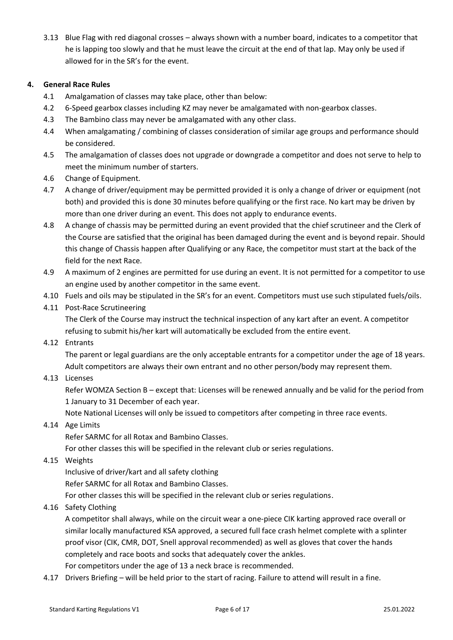3.13 Blue Flag with red diagonal crosses – always shown with a number board, indicates to a competitor that he is lapping too slowly and that he must leave the circuit at the end of that lap. May only be used if allowed for in the SR's for the event.

#### **4. General Race Rules**

- 4.1 Amalgamation of classes may take place, other than below:
- 4.2 6-Speed gearbox classes including KZ may never be amalgamated with non-gearbox classes.
- 4.3 The Bambino class may never be amalgamated with any other class.
- 4.4 When amalgamating / combining of classes consideration of similar age groups and performance should be considered.
- 4.5 The amalgamation of classes does not upgrade or downgrade a competitor and does not serve to help to meet the minimum number of starters.
- 4.6 Change of Equipment.
- 4.7 A change of driver/equipment may be permitted provided it is only a change of driver or equipment (not both) and provided this is done 30 minutes before qualifying or the first race. No kart may be driven by more than one driver during an event. This does not apply to endurance events.
- 4.8 A change of chassis may be permitted during an event provided that the chief scrutineer and the Clerk of the Course are satisfied that the original has been damaged during the event and is beyond repair. Should this change of Chassis happen after Qualifying or any Race, the competitor must start at the back of the field for the next Race.
- 4.9 A maximum of 2 engines are permitted for use during an event. It is not permitted for a competitor to use an engine used by another competitor in the same event.
- 4.10 Fuels and oils may be stipulated in the SR's for an event. Competitors must use such stipulated fuels/oils.
- 4.11 Post-Race Scrutineering

The Clerk of the Course may instruct the technical inspection of any kart after an event. A competitor refusing to submit his/her kart will automatically be excluded from the entire event.

4.12 Entrants

The parent or legal guardians are the only acceptable entrants for a competitor under the age of 18 years. Adult competitors are always their own entrant and no other person/body may represent them.

4.13 Licenses

Refer WOMZA Section B – except that: Licenses will be renewed annually and be valid for the period from 1 January to 31 December of each year.

Note National Licenses will only be issued to competitors after competing in three race events.

#### 4.14 Age Limits

Refer SARMC for all Rotax and Bambino Classes.

For other classes this will be specified in the relevant club or series regulations.

4.15 Weights

Inclusive of driver/kart and all safety clothing

Refer SARMC for all Rotax and Bambino Classes.

For other classes this will be specified in the relevant club or series regulations.

4.16 Safety Clothing

A competitor shall always, while on the circuit wear a one-piece CIK karting approved race overall or similar locally manufactured KSA approved, a secured full face crash helmet complete with a splinter proof visor (CIK, CMR, DOT, Snell approval recommended) as well as gloves that cover the hands completely and race boots and socks that adequately cover the ankles.

For competitors under the age of 13 a neck brace is recommended.

4.17 Drivers Briefing – will be held prior to the start of racing. Failure to attend will result in a fine.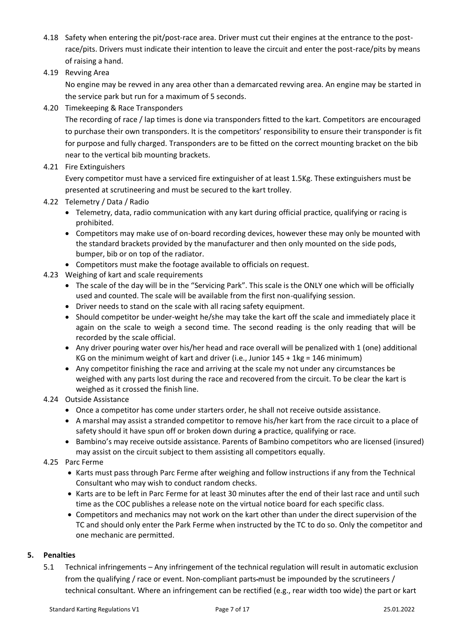- 4.18 Safety when entering the pit/post-race area. Driver must cut their engines at the entrance to the postrace/pits. Drivers must indicate their intention to leave the circuit and enter the post-race/pits by means of raising a hand.
- 4.19 Revving Area

No engine may be revved in any area other than a demarcated revving area. An engine may be started in the service park but run for a maximum of 5 seconds.

4.20 Timekeeping & Race Transponders

The recording of race / lap times is done via transponders fitted to the kart. Competitors are encouraged to purchase their own transponders. It is the competitors' responsibility to ensure their transponder is fit for purpose and fully charged. Transponders are to be fitted on the correct mounting bracket on the bib near to the vertical bib mounting brackets.

4.21 Fire Extinguishers

Every competitor must have a serviced fire extinguisher of at least 1.5Kg. These extinguishers must be presented at scrutineering and must be secured to the kart trolley.

- 4.22 Telemetry / Data / Radio
	- Telemetry, data, radio communication with any kart during official practice, qualifying or racing is prohibited.
	- Competitors may make use of on-board recording devices, however these may only be mounted with the standard brackets provided by the manufacturer and then only mounted on the side pods, bumper, bib or on top of the radiator.
	- Competitors must make the footage available to officials on request.
- 4.23 Weighing of kart and scale requirements
	- The scale of the day will be in the "Servicing Park". This scale is the ONLY one which will be officially used and counted. The scale will be available from the first non-qualifying session.
	- Driver needs to stand on the scale with all racing safety equipment.
	- Should competitor be under-weight he/she may take the kart off the scale and immediately place it again on the scale to weigh a second time. The second reading is the only reading that will be recorded by the scale official.
	- Any driver pouring water over his/her head and race overall will be penalized with 1 (one) additional KG on the minimum weight of kart and driver (i.e., Junior 145 + 1kg = 146 minimum)
	- Any competitor finishing the race and arriving at the scale my not under any circumstances be weighed with any parts lost during the race and recovered from the circuit. To be clear the kart is weighed as it crossed the finish line.
- 4.24 Outside Assistance
	- Once a competitor has come under starters order, he shall not receive outside assistance.
	- A marshal may assist a stranded competitor to remove his/her kart from the race circuit to a place of safety should it have spun off or broken down during a practice, qualifying or race.
	- Bambino's may receive outside assistance. Parents of Bambino competitors who are licensed (insured) may assist on the circuit subject to them assisting all competitors equally.
- 4.25 Parc Ferme
	- Karts must pass through Parc Ferme after weighing and follow instructions if any from the Technical Consultant who may wish to conduct random checks.
	- Karts are to be left in Parc Ferme for at least 30 minutes after the end of their last race and until such time as the COC publishes a release note on the virtual notice board for each specific class.
	- Competitors and mechanics may not work on the kart other than under the direct supervision of the TC and should only enter the Park Ferme when instructed by the TC to do so. Only the competitor and one mechanic are permitted.

#### **5. Penalties**

5.1 Technical infringements – Any infringement of the technical regulation will result in automatic exclusion from the qualifying / race or event. Non-compliant parts must be impounded by the scrutineers / technical consultant. Where an infringement can be rectified (e.g., rear width too wide) the part or kart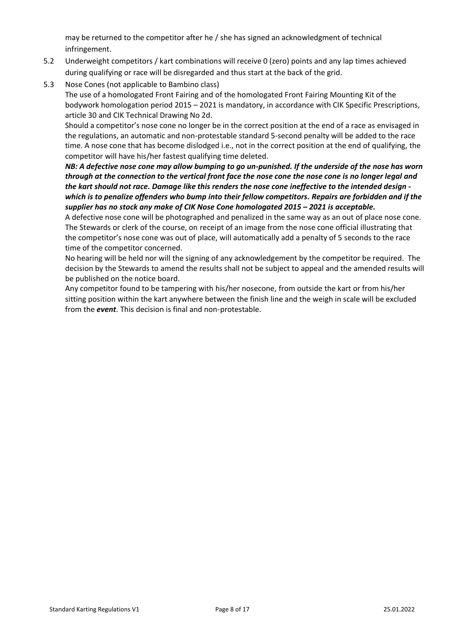may be returned to the competitor after he / she has signed an acknowledgment of technical infringement.

- 5.2 Underweight competitors / kart combinations will receive 0 (zero) points and any lap times achieved during qualifying or race will be disregarded and thus start at the back of the grid.
- 5.3 Nose Cones (not applicable to Bambino class)

The use of a homologated Front Fairing and of the homologated Front Fairing Mounting Kit of the bodywork homologation period 2015 – 2021 is mandatory, in accordance with CIK Specific Prescriptions, article 30 and CIK Technical Drawing No 2d.

Should a competitor's nose cone no longer be in the correct position at the end of a race as envisaged in the regulations, an automatic and non-protestable standard 5-second penalty will be added to the race time. A nose cone that has become dislodged i.e., not in the correct position at the end of qualifying, the competitor will have his/her fastest qualifying time deleted.

*NB: A defective nose cone may allow bumping to go un-punished. If the underside of the nose has worn through at the connection to the vertical front face the nose cone the nose cone is no longer legal and the kart should not race. Damage like this renders the nose cone ineffective to the intended design which is to penalize offenders who bump into their fellow competitors. Repairs are forbidden and if the supplier has no stock any make of CIK Nose Cone homologated 2015 – 2021 is acceptable.*

A defective nose cone will be photographed and penalized in the same way as an out of place nose cone. The Stewards or clerk of the course, on receipt of an image from the nose cone official illustrating that the competitor's nose cone was out of place, will automatically add a penalty of 5 seconds to the race time of the competitor concerned.

No hearing will be held nor will the signing of any acknowledgement by the competitor be required. The decision by the Stewards to amend the results shall not be subject to appeal and the amended results will be published on the notice board.

Any competitor found to be tampering with his/her nosecone, from outside the kart or from his/her sitting position within the kart anywhere between the finish line and the weigh in scale will be excluded from the *event*. This decision is final and non-protestable.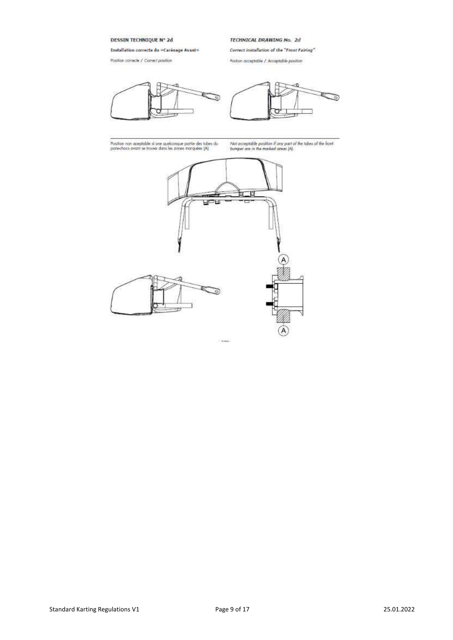DESSIN TECHNIQUE Nº 2d

Installation correcte du «Carénage Avant»

Position correcte / Correct position





TECHNICAL DRAWING No. 2d

Poston acceptable / Acceptable position

Correct installation of the "Front Fairing"

.<br>Position non aceptable si une quelconque partie des tubes du<br>pare-chocs avant se trauve dans les zones marquées (A).

Not acceptable position if any part of the tubes of the front bumper are in the marked areas  $|A|$ .

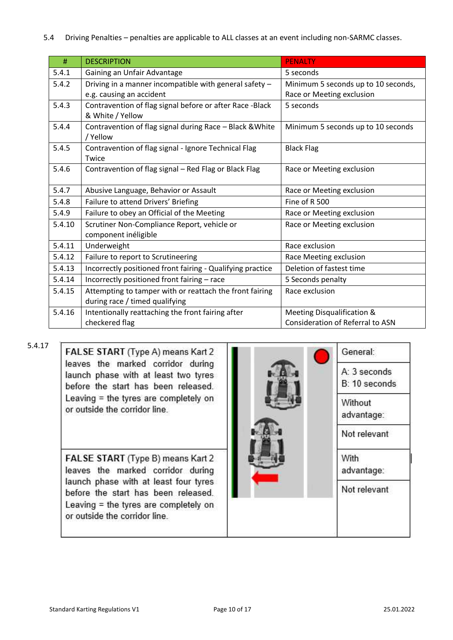| #      | <b>DESCRIPTION</b>                                                                        | <b>PENALTY</b>                                                   |  |
|--------|-------------------------------------------------------------------------------------------|------------------------------------------------------------------|--|
| 5.4.1  | Gaining an Unfair Advantage                                                               | 5 seconds                                                        |  |
| 5.4.2  | Driving in a manner incompatible with general safety -<br>e.g. causing an accident        | Minimum 5 seconds up to 10 seconds,<br>Race or Meeting exclusion |  |
| 5.4.3  | Contravention of flag signal before or after Race -Black<br>& White / Yellow              | 5 seconds                                                        |  |
| 5.4.4  | Contravention of flag signal during Race - Black & White<br>/ Yellow                      | Minimum 5 seconds up to 10 seconds                               |  |
| 5.4.5  | Contravention of flag signal - Ignore Technical Flag<br>Twice                             | <b>Black Flag</b>                                                |  |
| 5.4.6  | Contravention of flag signal - Red Flag or Black Flag                                     | Race or Meeting exclusion                                        |  |
| 5.4.7  | Abusive Language, Behavior or Assault                                                     | Race or Meeting exclusion                                        |  |
| 5.4.8  | Failure to attend Drivers' Briefing                                                       | Fine of R 500                                                    |  |
| 5.4.9  | Failure to obey an Official of the Meeting                                                | Race or Meeting exclusion                                        |  |
| 5.4.10 | Scrutiner Non-Compliance Report, vehicle or<br>component inéligible                       | Race or Meeting exclusion                                        |  |
| 5.4.11 | Underweight                                                                               | Race exclusion                                                   |  |
| 5.4.12 | Failure to report to Scrutineering                                                        | Race Meeting exclusion                                           |  |
| 5.4.13 | Incorrectly positioned front fairing - Qualifying practice                                | Deletion of fastest time                                         |  |
| 5.4.14 | Incorrectly positioned front fairing - race                                               | 5 Seconds penalty                                                |  |
| 5.4.15 | Attempting to tamper with or reattach the front fairing<br>during race / timed qualifying | Race exclusion                                                   |  |
| 5.4.16 | Intentionally reattaching the front fairing after                                         | Meeting Disqualification &                                       |  |
|        | checkered flag                                                                            | <b>Consideration of Referral to ASN</b>                          |  |

5.4.17

FALSE START (Type A) means Kart 2 leaves the marked corridor during launch phase with at least two tyres before the start has been released. Leaving = the tyres are completely on or outside the corridor line.

FALSE START (Type B) means Kart 2 leaves the marked corridor during launch phase with at least four tyres before the start has been released. Leaving = the tyres are completely on or outside the corridor line.

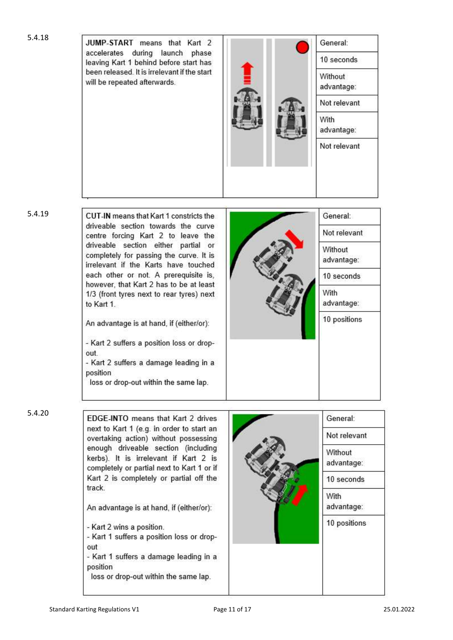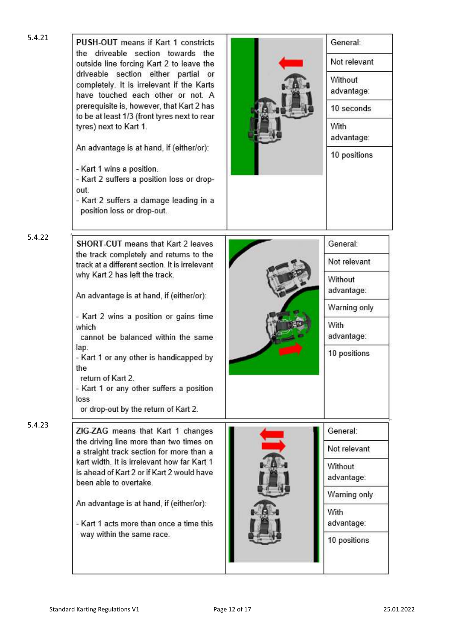| 5.4.21 | <b>PUSH-OUT</b> means if Kart 1 constricts<br>the driveable section towards the<br>outside line forcing Kart 2 to leave the<br>driveable section either partial or<br>completely. It is irrelevant if the Karts<br>have touched each other or not. A<br>prerequisite is, however, that Kart 2 has<br>to be at least 1/3 (front tyres next to rear<br>tyres) next to Kart 1.<br>An advantage is at hand, if (either/or):<br>- Kart 1 wins a position.<br>- Kart 2 suffers a position loss or drop-<br>out.<br>- Kart 2 suffers a damage leading in a<br>position loss or drop-out. | General:<br>Not relevant<br>Without<br>advantage:<br>10 seconds<br>With<br>advantage:<br>10 positions   |
|--------|-----------------------------------------------------------------------------------------------------------------------------------------------------------------------------------------------------------------------------------------------------------------------------------------------------------------------------------------------------------------------------------------------------------------------------------------------------------------------------------------------------------------------------------------------------------------------------------|---------------------------------------------------------------------------------------------------------|
| 5.4.22 | SHORT-CUT means that Kart 2 leaves<br>the track completely and returns to the<br>track at a different section. It is irrelevant<br>why Kart 2 has left the track.<br>An advantage is at hand, if (either/or):<br>- Kart 2 wins a position or gains time<br>which<br>cannot be balanced within the same<br>lap.<br>- Kart 1 or any other is handicapped by<br>the<br>return of Kart 2.<br>- Kart 1 or any other suffers a position<br>loss<br>or drop-out by the return of Kart 2.                                                                                                 | General:<br>Not relevant<br>Without<br>advantage:<br>Warning only<br>With<br>advantage:<br>10 positions |
| 5.4.23 | ZIG-ZAG means that Kart 1 changes<br>the driving line more than two times on<br>a straight track section for more than a<br>kart width. It is irrelevant how far Kart 1<br>is ahead of Kart 2 or if Kart 2 would have<br>been able to overtake.<br>An advantage is at hand, if (either/or):<br>- Kart 1 acts more than once a time this<br>way within the same race.                                                                                                                                                                                                              | General:<br>Not relevant<br>Without<br>advantage:<br>Warning only<br>With<br>advantage:<br>10 positions |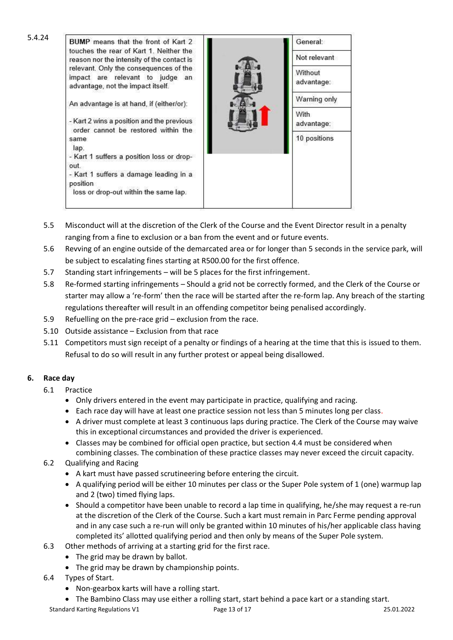| 5.4.24 | BUMP means that the front of Kart 2                                                                            | General:              |
|--------|----------------------------------------------------------------------------------------------------------------|-----------------------|
|        | touches the rear of Kart 1. Neither the<br>reason nor the intensity of the contact is                          | Not relevant          |
|        | relevant. Only the consequences of the<br>impact are relevant to judge an<br>advantage, not the impact itself. | Without<br>advantage: |
|        | An advantage is at hand, if (either/or):                                                                       | Warning only          |
|        | - Kart 2 wins a position and the previous<br>order cannot be restored within the                               | With.<br>advantage:   |
|        | same<br>lap.                                                                                                   | 10 positions          |
|        | - Kart 1 suffers a position loss or drop-<br>out.                                                              |                       |
|        | - Kart 1 suffers a damage leading in a<br>position<br>loss or drop-out within the same lap.                    |                       |

- 5.5 Misconduct will at the discretion of the Clerk of the Course and the Event Director result in a penalty ranging from a fine to exclusion or a ban from the event and or future events.
- 5.6 Revving of an engine outside of the demarcated area or for longer than 5 seconds in the service park, will be subject to escalating fines starting at R500.00 for the first offence.
- 5.7 Standing start infringements will be 5 places for the first infringement.
- 5.8 Re-formed starting infringements Should a grid not be correctly formed, and the Clerk of the Course or starter may allow a 're-form' then the race will be started after the re-form lap. Any breach of the starting regulations thereafter will result in an offending competitor being penalised accordingly.
- 5.9 Refuelling on the pre-race grid exclusion from the race.
- 5.10 Outside assistance Exclusion from that race
- 5.11 Competitors must sign receipt of a penalty or findings of a hearing at the time that this is issued to them. Refusal to do so will result in any further protest or appeal being disallowed.

# **6. Race day**

- 6.1 Practice
	- Only drivers entered in the event may participate in practice, qualifying and racing.
	- Each race day will have at least one practice session not less than 5 minutes long per class.
	- A driver must complete at least 3 continuous laps during practice. The Clerk of the Course may waive this in exceptional circumstances and provided the driver is experienced.
	- Classes may be combined for official open practice, but section 4.4 must be considered when combining classes. The combination of these practice classes may never exceed the circuit capacity.
- 6.2 Qualifying and Racing
	- A kart must have passed scrutineering before entering the circuit.
	- A qualifying period will be either 10 minutes per class or the Super Pole system of 1 (one) warmup lap and 2 (two) timed flying laps.
	- Should a competitor have been unable to record a lap time in qualifying, he/she may request a re-run at the discretion of the Clerk of the Course. Such a kart must remain in Parc Ferme pending approval and in any case such a re-run will only be granted within 10 minutes of his/her applicable class having completed its' allotted qualifying period and then only by means of the Super Pole system.
- 6.3 Other methods of arriving at a starting grid for the first race.
	- The grid may be drawn by ballot.
	- The grid may be drawn by championship points.
- 6.4 Types of Start.
	- Non-gearbox karts will have a rolling start.
	- The Bambino Class may use either a rolling start, start behind a pace kart or a standing start.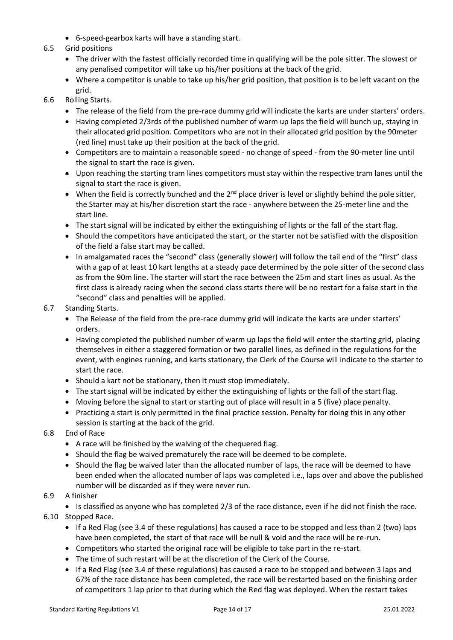• 6-speed-gearbox karts will have a standing start.

#### 6.5 Grid positions

- The driver with the fastest officially recorded time in qualifying will be the pole sitter. The slowest or any penalised competitor will take up his/her positions at the back of the grid.
- Where a competitor is unable to take up his/her grid position, that position is to be left vacant on the grid.

#### 6.6 Rolling Starts.

- The release of the field from the pre-race dummy grid will indicate the karts are under starters' orders.
- Having completed 2/3rds of the published number of warm up laps the field will bunch up, staying in their allocated grid position. Competitors who are not in their allocated grid position by the 90meter (red line) must take up their position at the back of the grid.
- Competitors are to maintain a reasonable speed no change of speed from the 90-meter line until the signal to start the race is given.
- Upon reaching the starting tram lines competitors must stay within the respective tram lanes until the signal to start the race is given.
- When the field is correctly bunched and the  $2^{nd}$  place driver is level or slightly behind the pole sitter, the Starter may at his/her discretion start the race - anywhere between the 25-meter line and the start line.
- The start signal will be indicated by either the extinguishing of lights or the fall of the start flag.
- Should the competitors have anticipated the start, or the starter not be satisfied with the disposition of the field a false start may be called.
- In amalgamated races the "second" class (generally slower) will follow the tail end of the "first" class with a gap of at least 10 kart lengths at a steady pace determined by the pole sitter of the second class as from the 90m line. The starter will start the race between the 25m and start lines as usual. As the first class is already racing when the second class starts there will be no restart for a false start in the "second" class and penalties will be applied.

#### 6.7 Standing Starts.

- The Release of the field from the pre-race dummy grid will indicate the karts are under starters' orders.
- Having completed the published number of warm up laps the field will enter the starting grid, placing themselves in either a staggered formation or two parallel lines, as defined in the regulations for the event, with engines running, and karts stationary, the Clerk of the Course will indicate to the starter to start the race.
- Should a kart not be stationary, then it must stop immediately.
- The start signal will be indicated by either the extinguishing of lights or the fall of the start flag.
- Moving before the signal to start or starting out of place will result in a 5 (five) place penalty.
- Practicing a start is only permitted in the final practice session. Penalty for doing this in any other session is starting at the back of the grid.
- 6.8 End of Race
	- A race will be finished by the waiving of the chequered flag.
	- Should the flag be waived prematurely the race will be deemed to be complete.
	- Should the flag be waived later than the allocated number of laps, the race will be deemed to have been ended when the allocated number of laps was completed i.e., laps over and above the published number will be discarded as if they were never run.

#### 6.9 A finisher

• Is classified as anyone who has completed 2/3 of the race distance, even if he did not finish the race.

- 6.10 Stopped Race.
	- If a Red Flag (see 3.4 of these regulations) has caused a race to be stopped and less than 2 (two) laps have been completed, the start of that race will be null & void and the race will be re-run.
	- Competitors who started the original race will be eligible to take part in the re-start.
	- The time of such restart will be at the discretion of the Clerk of the Course.
	- If a Red Flag (see 3.4 of these regulations) has caused a race to be stopped and between 3 laps and 67% of the race distance has been completed, the race will be restarted based on the finishing order of competitors 1 lap prior to that during which the Red flag was deployed. When the restart takes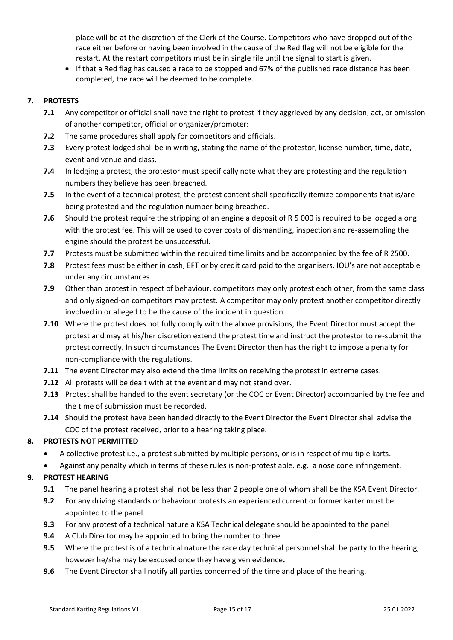place will be at the discretion of the Clerk of the Course. Competitors who have dropped out of the race either before or having been involved in the cause of the Red flag will not be eligible for the restart. At the restart competitors must be in single file until the signal to start is given.

• If that a Red flag has caused a race to be stopped and 67% of the published race distance has been completed, the race will be deemed to be complete.

### **7. PROTESTS**

- **7.1** Any competitor or official shall have the right to protest if they aggrieved by any decision, act, or omission of another competitor, official or organizer/promoter:
- **7.2** The same procedures shall apply for competitors and officials.
- **7.3** Every protest lodged shall be in writing, stating the name of the protestor, license number, time, date, event and venue and class.
- **7.4** In lodging a protest, the protestor must specifically note what they are protesting and the regulation numbers they believe has been breached.
- **7.5** In the event of a technical protest, the protest content shall specifically itemize components that is/are being protested and the regulation number being breached.
- **7.6** Should the protest require the stripping of an engine a deposit of R 5 000 is required to be lodged along with the protest fee. This will be used to cover costs of dismantling, inspection and re-assembling the engine should the protest be unsuccessful.
- **7.7** Protests must be submitted within the required time limits and be accompanied by the fee of R 2500.
- **7.8** Protest fees must be either in cash, EFT or by credit card paid to the organisers. IOU's are not acceptable under any circumstances.
- **7.9** Other than protest in respect of behaviour, competitors may only protest each other, from the same class and only signed-on competitors may protest. A competitor may only protest another competitor directly involved in or alleged to be the cause of the incident in question.
- **7.10** Where the protest does not fully comply with the above provisions, the Event Director must accept the protest and may at his/her discretion extend the protest time and instruct the protestor to re-submit the protest correctly. In such circumstances The Event Director then has the right to impose a penalty for non-compliance with the regulations.
- **7.11** The event Director may also extend the time limits on receiving the protest in extreme cases.
- **7.12** All protests will be dealt with at the event and may not stand over.
- **7.13** Protest shall be handed to the event secretary (or the COC or Event Director) accompanied by the fee and the time of submission must be recorded.
- **7.14** Should the protest have been handed directly to the Event Director the Event Director shall advise the COC of the protest received, prior to a hearing taking place.

#### **8. PROTESTS NOT PERMITTED**

- A collective protest i.e., a protest submitted by multiple persons, or is in respect of multiple karts.
- Against any penalty which in terms of these rules is non-protest able. e.g. a nose cone infringement.

# **9. PROTEST HEARING**

- **9.1** The panel hearing a protest shall not be less than 2 people one of whom shall be the KSA Event Director.
- **9.2** For any driving standards or behaviour protests an experienced current or former karter must be appointed to the panel.
- **9.3** For any protest of a technical nature a KSA Technical delegate should be appointed to the panel
- **9.4** A Club Director may be appointed to bring the number to three.
- **9.5** Where the protest is of a technical nature the race day technical personnel shall be party to the hearing, however he/she may be excused once they have given evidence**.**
- **9.6** The Event Director shall notify all parties concerned of the time and place of the hearing.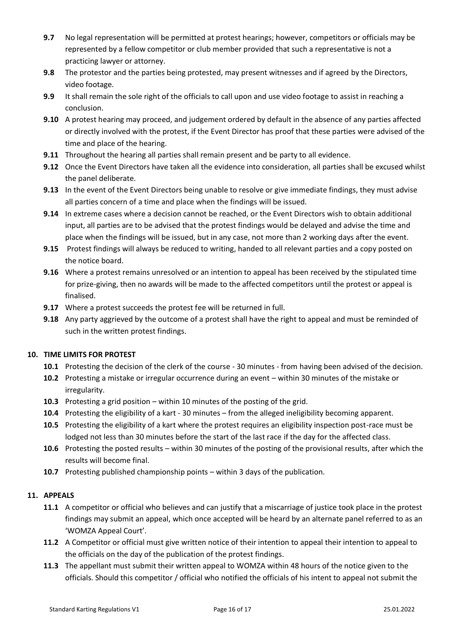- **9.7** No legal representation will be permitted at protest hearings; however, competitors or officials may be represented by a fellow competitor or club member provided that such a representative is not a practicing lawyer or attorney.
- **9.8** The protestor and the parties being protested, may present witnesses and if agreed by the Directors, video footage.
- **9.9** It shall remain the sole right of the officials to call upon and use video footage to assist in reaching a conclusion.
- **9.10** A protest hearing may proceed, and judgement ordered by default in the absence of any parties affected or directly involved with the protest, if the Event Director has proof that these parties were advised of the time and place of the hearing.
- **9.11** Throughout the hearing all parties shall remain present and be party to all evidence.
- **9.12** Once the Event Directors have taken all the evidence into consideration, all parties shall be excused whilst the panel deliberate.
- **9.13** In the event of the Event Directors being unable to resolve or give immediate findings, they must advise all parties concern of a time and place when the findings will be issued.
- **9.14** In extreme cases where a decision cannot be reached, or the Event Directors wish to obtain additional input, all parties are to be advised that the protest findings would be delayed and advise the time and place when the findings will be issued, but in any case, not more than 2 working days after the event.
- **9.15** Protest findings will always be reduced to writing, handed to all relevant parties and a copy posted on the notice board.
- **9.16** Where a protest remains unresolved or an intention to appeal has been received by the stipulated time for prize-giving, then no awards will be made to the affected competitors until the protest or appeal is finalised.
- **9.17** Where a protest succeeds the protest fee will be returned in full.
- **9.18** Any party aggrieved by the outcome of a protest shall have the right to appeal and must be reminded of such in the written protest findings.

#### **10. TIME LIMITS FOR PROTEST**

- **10.1** Protesting the decision of the clerk of the course 30 minutes from having been advised of the decision.
- **10.2** Protesting a mistake or irregular occurrence during an event within 30 minutes of the mistake or irregularity.
- **10.3** Protesting a grid position within 10 minutes of the posting of the grid.
- **10.4** Protesting the eligibility of a kart 30 minutes from the alleged ineligibility becoming apparent.
- **10.5** Protesting the eligibility of a kart where the protest requires an eligibility inspection post-race must be lodged not less than 30 minutes before the start of the last race if the day for the affected class.
- **10.6** Protesting the posted results within 30 minutes of the posting of the provisional results, after which the results will become final.
- **10.7** Protesting published championship points within 3 days of the publication.

#### **11. APPEALS**

- **11.1** A competitor or official who believes and can justify that a miscarriage of justice took place in the protest findings may submit an appeal, which once accepted will be heard by an alternate panel referred to as an 'WOMZA Appeal Court'.
- **11.2** A Competitor or official must give written notice of their intention to appeal their intention to appeal to the officials on the day of the publication of the protest findings.
- **11.3** The appellant must submit their written appeal to WOMZA within 48 hours of the notice given to the officials. Should this competitor / official who notified the officials of his intent to appeal not submit the